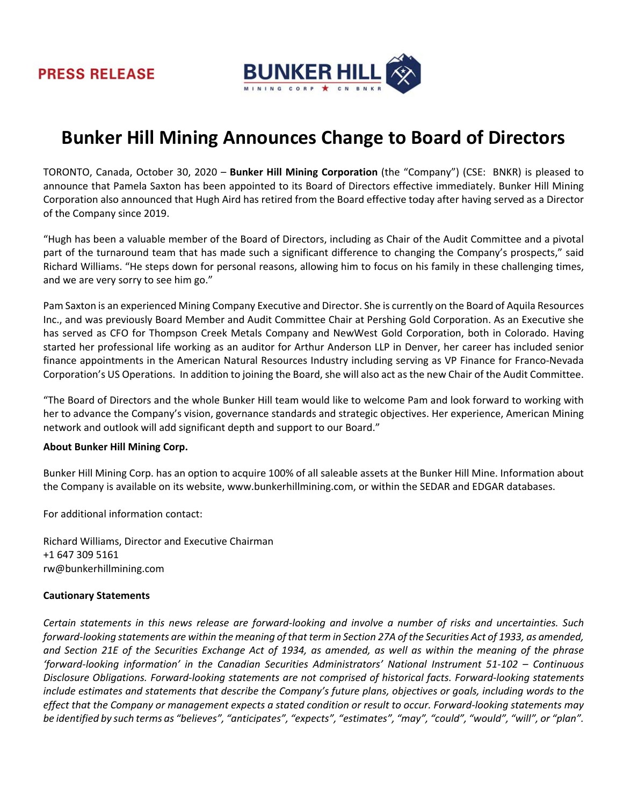



# **Bunker Hill Mining Announces Change to Board of Directors**

TORONTO, Canada, October 30, 2020 – **Bunker Hill Mining Corporation** (the "Company") (CSE: BNKR) is pleased to announce that Pamela Saxton has been appointed to its Board of Directors effective immediately. Bunker Hill Mining Corporation also announced that Hugh Aird has retired from the Board effective today after having served as a Director of the Company since 2019.

"Hugh has been a valuable member of the Board of Directors, including as Chair of the Audit Committee and a pivotal part of the turnaround team that has made such a significant difference to changing the Company's prospects," said Richard Williams. "He steps down for personal reasons, allowing him to focus on his family in these challenging times, and we are very sorry to see him go."

Pam Saxton is an experienced Mining Company Executive and Director. She is currently on the Board of Aquila Resources Inc., and was previously Board Member and Audit Committee Chair at Pershing Gold Corporation. As an Executive she has served as CFO for Thompson Creek Metals Company and NewWest Gold Corporation, both in Colorado. Having started her professional life working as an auditor for Arthur Anderson LLP in Denver, her career has included senior finance appointments in the American Natural Resources Industry including serving as VP Finance for Franco‐Nevada Corporation's US Operations. In addition to joining the Board, she will also act as the new Chair of the Audit Committee.

"The Board of Directors and the whole Bunker Hill team would like to welcome Pam and look forward to working with her to advance the Company's vision, governance standards and strategic objectives. Her experience, American Mining network and outlook will add significant depth and support to our Board."

### **About Bunker Hill Mining Corp.**

Bunker Hill Mining Corp. has an option to acquire 100% of all saleable assets at the Bunker Hill Mine. Information about the Company is available on its website, www.bunkerhillmining.com, or within the SEDAR and EDGAR databases.

For additional information contact:

Richard Williams, Director and Executive Chairman +1 647 309 5161 rw@bunkerhillmining.com

### **Cautionary Statements**

Certain statements in this news release are forward-looking and involve a number of risks and uncertainties. Such forward-looking statements are within the meaning of that term in Section 27A of the Securities Act of 1933, as amended, and Section 21E of the Securities Exchange Act of 1934, as amended, as well as within the meaning of the phrase *'forward‐looking information' in the Canadian Securities Administrators' National Instrument 51‐102 – Continuous* Disclosure Obligations. Forward-looking statements are not comprised of historical facts. Forward-looking statements include estimates and statements that describe the Company's future plans, objectives or goals, including words to the effect that the Company or management expects a stated condition or result to occur. Forward-looking statements may be identified by such terms as "believes", "anticipates", "expects", "estimates", "may", "could", "would", "will", or "plan".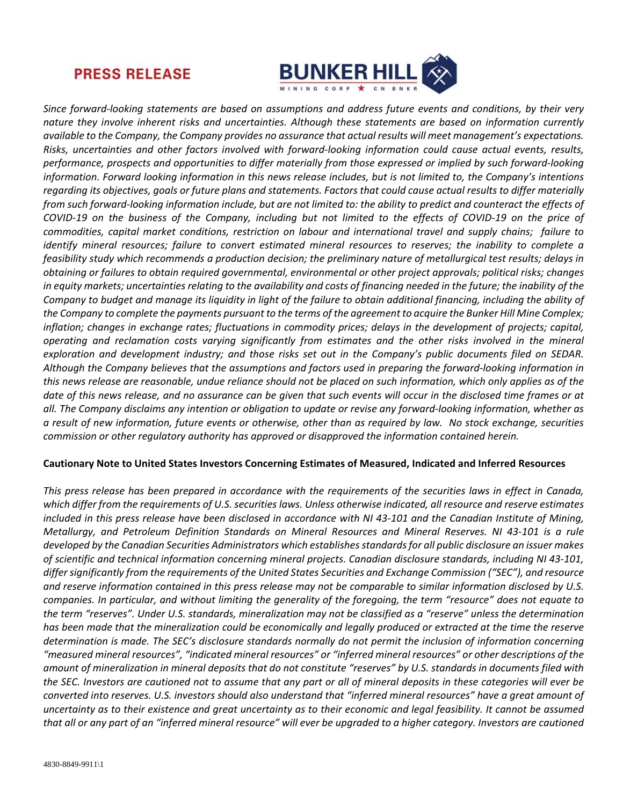## **PRESS RELEASE**



Since forward-looking statements are based on assumptions and address future events and conditions, by their very *nature they involve inherent risks and uncertainties. Although these statements are based on information currently* available to the Company, the Company provides no assurance that actual results will meet management's expectations. Risks, uncertainties and other factors involved with forward-looking information could cause actual events, results, performance, prospects and opportunities to differ materially from those expressed or implied by such forward-looking information. Forward looking information in this news release includes, but is not limited to, the Company's intentions regarding its objectives, goals or future plans and statements. Factors that could cause actual results to differ materially from such forward-looking information include, but are not limited to: the ability to predict and counteract the effects of COVID-19 on the business of the Company, including but not limited to the effects of COVID-19 on the price of commodities, capital market conditions, restriction on labour and international travel and supply chains; failure to identify mineral resources; failure to convert estimated mineral resources to reserves; the inability to complete a feasibility study which recommends a production decision; the preliminary nature of metallurgical test results; delays in obtaining or failures to obtain required governmental, environmental or other project approvals; political risks; changes in equity markets; uncertainties relating to the availability and costs of financing needed in the future; the inability of the Company to budget and manage its liquidity in light of the failure to obtain additional financing, including the ability of the Company to complete the payments pursuant to the terms of the agreement to acquire the Bunker Hill Mine Complex; inflation; changes in exchange rates; fluctuations in commodity prices; delays in the development of projects; capital, *operating and reclamation costs varying significantly from estimates and the other risks involved in the mineral* exploration and development industry; and those risks set out in the Company's public documents filed on SEDAR. Although the Company believes that the assumptions and factors used in preparing the forward-looking information in this news release are reasonable, undue reliance should not be placed on such information, which only applies as of the date of this news release, and no assurance can be given that such events will occur in the disclosed time frames or at all. The Company disclaims any intention or obligation to update or revise any forward-looking information, whether as a result of new information, future events or otherwise, other than as required by law. No stock exchange, securities *commission or other regulatory authority has approved or disapproved the information contained herein.*

### **Cautionary Note to United States Investors Concerning Estimates of Measured, Indicated and Inferred Resources**

This press release has been prepared in accordance with the requirements of the securities laws in effect in Canada, which differ from the requirements of U.S. securities laws. Unless otherwise indicated, all resource and reserve estimates included in this press release have been disclosed in accordance with NI 43-101 and the Canadian Institute of Mining, Metallurgy, and Petroleum Definition Standards on Mineral Resources and Mineral Reserves. NI 43-101 is a rule *developed by the Canadian Securities Administrators which establishesstandardsfor all public disclosure an issuer makes* of scientific and technical information concerning mineral projects. Canadian disclosure standards, including NI 43-101, *differsignificantly from the requirements of the United States Securities and Exchange Commission ("SEC"), and resource* and reserve information contained in this press release may not be comparable to similar information disclosed by U.S. companies. In particular, and without limiting the generality of the foregoing, the term "resource" does not equate to the term "reserves". Under U.S. standards, mineralization may not be classified as a "reserve" unless the determination has been made that the mineralization could be economically and legally produced or extracted at the time the reserve determination is made. The SEC's disclosure standards normally do not permit the inclusion of information concerning "measured mineral resources", "indicated mineral resources" or "inferred mineral resources" or other descriptions of the amount of mineralization in mineral deposits that do not constitute "reserves" by U.S. standards in documents filed with the SEC. Investors are cautioned not to assume that any part or all of mineral deposits in these categories will ever be converted into reserves. U.S. investors should also understand that "inferred mineral resources" have a great amount of uncertainty as to their existence and great uncertainty as to their economic and legal feasibility. It cannot be assumed that all or any part of an "inferred mineral resource" will ever be upgraded to a higher category. Investors are cautioned